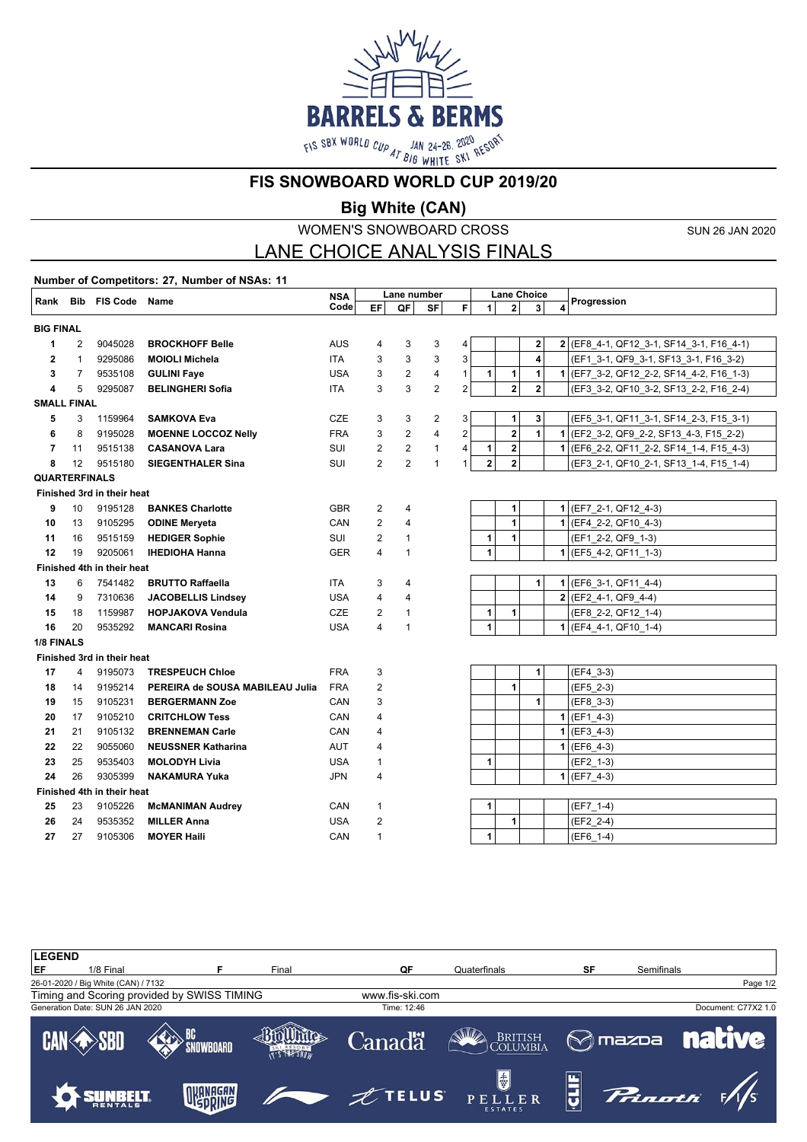

**FIS SNOWBOARD WORLD CUP 2019/20**

**Big White (CAN)**

WOMEN'S SNOWBOARD CROSS

SUN 26 JAN 2020

## LANE CHOICE ANALYSIS FINALS

**Number of Competitors: 27, Number of NSAs: 11 Rank Bib FIS Code Name NSA NSA** Lane number Lane Choice<br>Code EF QF SF F 1 2 3 4 Progression **EF QF SF F Lane Choice 1 2 3 4 BIG FINAL** 2 9045028 **BROCKHOFF Belle** AUS 4 3 3 4 **2 2** (EF8\_4-1, QF12\_3-1, SF14\_3-1, F16\_4-1) 1 9295086 **MOIOLI Michela** ITA 3 3 3 3 **4** (EF1\_3-1, QF9\_3-1, SF13\_3-1, F16\_3-2) 7 9535108 **GULINI Faye** USA 3 2 4 1 **1 1 1 1** (EF7\_3-2, QF12\_2-2, SF14\_4-2, F16\_1-3) 5 9295087 **BELINGHERI Sofia** ITA 3 3 2 2 **2 2** (EF3\_3-2, QF10\_3-2, SF13\_2-2, F16\_2-4) **SMALL FINAL** 3 1159964 **SAMKOVA Eva** CZE 3 3 2 3 **1 3** (EF5\_3-1, QF11\_3-1, SF14\_2-3, F15\_3-1) 8 9195028 **MOENNE LOCCOZ Nelly** FRA 3 2 4 2 **2 1 1** (EF2\_3-2, QF9\_2-2, SF13\_4-3, F15\_2-2) 11 9515138 **CASANOVA Lara** SUI 2 2 1 4 **1 2 1** (EF6\_2-2, QF11\_2-2, SF14\_1-4, F15\_4-3) 12 9515180 **SIEGENTHALER Sina** SUI 2 2 1 1 **2 2** (EF3\_2-1, QF10\_2-1, SF13\_1-4, F15\_1-4) **QUARTERFINALS Finished 3rd in their heat** 10 9195128 **BANKES Charlotte** GBR 2 4 **1 1** (EF7\_2-1, QF12\_4-3) 13 9105295 **ODINE Meryeta** CAN 2 4 **1 1** (EF4\_2-2, QF10\_4-3) 16 9515159 **HEDIGER Sophie** SUI 2 1 **1 1** (EF1\_2-2, QF9\_1-3) 19 9205061 **IHEDIOHA Hanna** GER 4 1 **1 1** (EF5\_4-2, QF11\_1-3) **Finished 4th in their heat** 6 7541482 **BRUTTO Raffaella** ITA 3 4 **1 1** (EF6\_3-1, QF11\_4-4) 9 7310636 **JACOBELLIS Lindsey** USA 4 4 **2** (EF2\_4-1, QF9\_4-4) 18 1159987 **HOPJAKOVA Vendula** CZE 2 1 **1 1** (EF8\_2-2, QF12\_1-4) 20 9535292 **MANCARI Rosina** USA 4 1 **1 1** (EF4\_4-1, QF10\_1-4) **1/8 FINALS Finished 3rd in their heat** 4 9195073 **TRESPEUCH Chloe FRA** 3 **1 | 1** (EF4\_3-3) 14 9195214 **PEREIRA de SOUSA MABILEAU Julia** FRA 2 **1** (EF5\_2-3) 15 9105231 **BERGERMANN Zoe** CAN 3 **1** (EF8\_3-3) 17 9105210 **CRITCHLOW Tess** CAN 4 **1** (EF1\_4-3) 21 9105132 **BRENNEMAN Carle** CAN 4 **1** (EF3\_4-3) 22 9055060 **NEUSSNER Katharina** AUT 4 **1** (EF6\_4-3) 25 9535403 **MOLODYH Livia** USA 1 **1** (EF2\_1-3) 26 9305399 **NAKAMURA Yuka** JPN 4 **1** (EF7\_4-3) **Finished 4th in their heat** 23 9105226 **McMANIMAN Audrey** CAN 1 **1** (EF7\_1-4) 24 9535352 **MILLER Anna** USA 2 **1** (EF2\_2-4) 27 9105306 **MOYER Haili** CAN 1 **1** (EF6\_1-4)